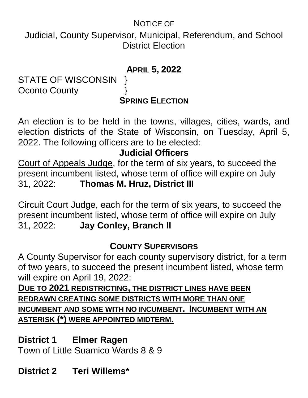### NOTICE OF

Judicial, County Supervisor, Municipal, Referendum, and School District Election

#### **APRIL 5, 2022**

STATE OF WISCONSIN } Oconto County  $\}$ 

**SPRING ELECTION**

An election is to be held in the towns, villages, cities, wards, and election districts of the State of Wisconsin, on Tuesday, April 5, 2022. The following officers are to be elected:

### **Judicial Officers**

Court of Appeals Judge, for the term of six years, to succeed the present incumbent listed, whose term of office will expire on July 31, 2022: **Thomas M. Hruz, District III**

Circuit Court Judge, each for the term of six years, to succeed the present incumbent listed, whose term of office will expire on July 31, 2022: **Jay Conley, Branch II**

### **COUNTY SUPERVISORS**

A County Supervisor for each county supervisory district, for a term of two years, to succeed the present incumbent listed, whose term will expire on April 19, 2022:

**DUE TO 2021 REDISTRICTING, THE DISTRICT LINES HAVE BEEN REDRAWN CREATING SOME DISTRICTS WITH MORE THAN ONE INCUMBENT AND SOME WITH NO INCUMBENT. INCUMBENT WITH AN ASTERISK (\*) WERE APPOINTED MIDTERM.**

### **District 1 Elmer Ragen**

Town of Little Suamico Wards 8 & 9

## **District 2 Teri Willems\***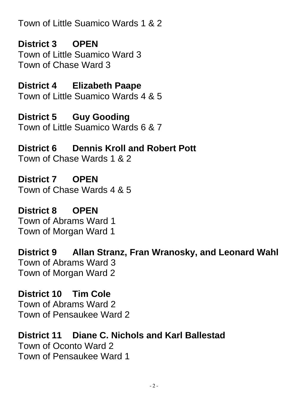Town of Little Suamico Wards 1 & 2

**District 3 OPEN** Town of Little Suamico Ward 3 Town of Chase Ward 3

#### **District 4 Elizabeth Paape** Town of Little Suamico Wards 4 & 5

**District 5 Guy Gooding** Town of Little Suamico Wards 6 & 7

**District 6 Dennis Kroll and Robert Pott** Town of Chase Wards 1 & 2

**District 7 OPEN** Town of Chase Wards 4 & 5

**District 8 OPEN** Town of Abrams Ward 1 Town of Morgan Ward 1

**District 9 Allan Stranz, Fran Wranosky, and Leonard Wahl** Town of Abrams Ward 3 Town of Morgan Ward 2

**District 10 Tim Cole** Town of Abrams Ward 2 Town of Pensaukee Ward 2

**District 11 Diane C. Nichols and Karl Ballestad** Town of Oconto Ward 2 Town of Pensaukee Ward 1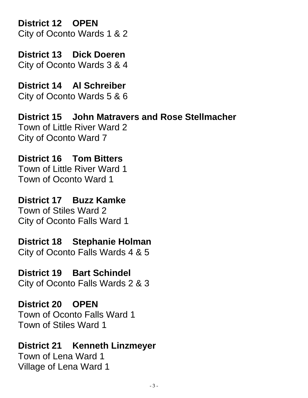**District 12 OPEN**

City of Oconto Wards 1 & 2

**District 13 Dick Doeren** City of Oconto Wards 3 & 4

**District 14 Al Schreiber** City of Oconto Wards 5 & 6

**District 15 John Matravers and Rose Stellmacher** Town of Little River Ward 2 City of Oconto Ward 7

**District 16 Tom Bitters** Town of Little River Ward 1 Town of Oconto Ward 1

**District 17 Buzz Kamke** Town of Stiles Ward 2 City of Oconto Falls Ward 1

**District 18 Stephanie Holman** City of Oconto Falls Wards 4 & 5

**District 19 Bart Schindel** City of Oconto Falls Wards 2 & 3

**District 20 OPEN** Town of Oconto Falls Ward 1 Town of Stiles Ward 1

**District 21 Kenneth Linzmeyer** Town of Lena Ward 1 Village of Lena Ward 1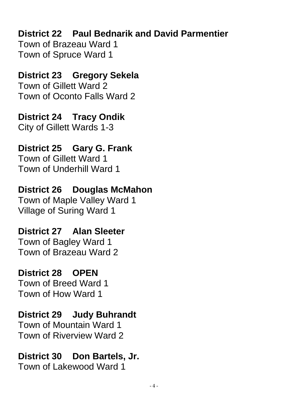## **District 22 Paul Bednarik and David Parmentier**

Town of Brazeau Ward 1 Town of Spruce Ward 1

### **District 23 Gregory Sekela**

Town of Gillett Ward 2 Town of Oconto Falls Ward 2

**District 24 Tracy Ondik** City of Gillett Wards 1-3

# **District 25 Gary G. Frank**

Town of Gillett Ward 1 Town of Underhill Ward 1

# **District 26 Douglas McMahon**

Town of Maple Valley Ward 1 Village of Suring Ward 1

# **District 27 Alan Sleeter**

Town of Bagley Ward 1 Town of Brazeau Ward 2

### **District 28 OPEN**

Town of Breed Ward 1 Town of How Ward 1

### **District 29 Judy Buhrandt**

Town of Mountain Ward 1 Town of Riverview Ward 2

## **District 30 Don Bartels, Jr.**

Town of Lakewood Ward 1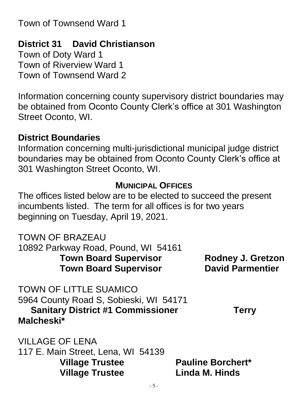Town of Townsend Ward 1

### **District 31 David Christianson**

Town of Doty Ward 1 Town of Riverview Ward 1 Town of Townsend Ward 2

Information concerning county supervisory district boundaries may be obtained from Oconto County Clerk's office at 301 Washington Street Oconto, WI.

#### **District Boundaries**

Information concerning multi-jurisdictional municipal judge district boundaries may be obtained from Oconto County Clerk's office at 301 Washington Street Oconto, WI.

#### **MUNICIPAL OFFICES**

The offices listed below are to be elected to succeed the present incumbents listed. The term for all offices is for two years beginning on Tuesday, April 19, 2021.

TOWN OF BRAZEAU

10892 Parkway Road, Pound, WI 54161 **Town Board Supervisor Rodney J. Gretzon Town Board Supervisor David Parmentier**

TOWN OF LITTLE SUAMICO 5964 County Road S, Sobieski, WI 54171 **Sanitary District #1 Commissioner Terry Malcheski\*** 

VILLAGE OF LENA

117 E. Main Street, Lena, WI 54139 **Village Trustee Pauline Borchert\* Village Trustee Linda M. Hinds**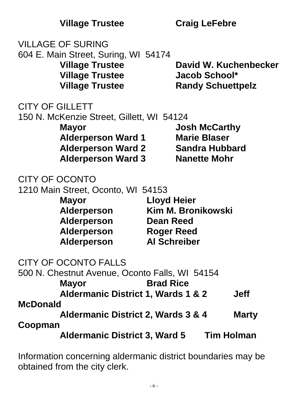|                        | <b>VILLAGE OF SURING</b>                                                                                                                         |                                                                                                          |                                                                                             |                       |
|------------------------|--------------------------------------------------------------------------------------------------------------------------------------------------|----------------------------------------------------------------------------------------------------------|---------------------------------------------------------------------------------------------|-----------------------|
|                        | 604 E. Main Street, Suring, WI 54174<br><b>Village Trustee</b><br><b>Village Trustee</b><br><b>Village Trustee</b>                               |                                                                                                          | <b>Jacob School*</b><br><b>Randy Schuettpelz</b>                                            | David W. Kuchenbecker |
| <b>CITY OF GILLETT</b> | 150 N. McKenzie Street, Gillett, WI 54124<br><b>Mayor</b><br><b>Alderperson Ward 1</b><br><b>Alderperson Ward 2</b><br><b>Alderperson Ward 3</b> |                                                                                                          | <b>Josh McCarthy</b><br><b>Marie Blaser</b><br><b>Sandra Hubbard</b><br><b>Nanette Mohr</b> |                       |
| CITY OF OCONTO         | 1210 Main Street, Oconto, WI 54153<br><b>Mayor</b><br>Alderperson<br><b>Alderperson</b><br>Alderperson<br><b>Alderperson</b>                     | <b>Lloyd Heier</b><br><b>Kim M. Bronikowski</b><br>Dean Reed<br><b>Roger Reed</b><br><b>Al Schreiber</b> |                                                                                             |                       |
|                        | CITY OF OCONTO FALLS<br>500 N. Chestnut Avenue, Oconto Falls, WI 54154<br><b>Mayor</b><br><b>Aldermanic District 1, Wards 1 &amp; 2</b>          | <b>Brad Rice</b>                                                                                         |                                                                                             | <b>Jeff</b>           |
| <b>McDonald</b>        |                                                                                                                                                  |                                                                                                          |                                                                                             |                       |
| Coopman                | <b>Aldermanic District 2, Wards 3 &amp; 4</b>                                                                                                    |                                                                                                          |                                                                                             | <b>Marty</b>          |
|                        | <b>Aldermanic District 3, Ward 5</b>                                                                                                             |                                                                                                          | <b>Tim Holman</b>                                                                           |                       |

Information concerning aldermanic district boundaries may be obtained from the city clerk.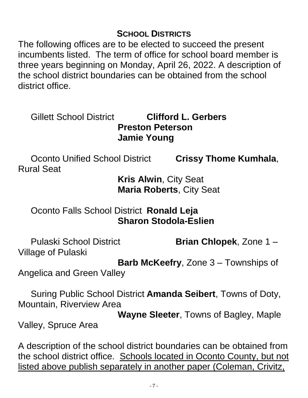#### **SCHOOL DISTRICTS**

The following offices are to be elected to succeed the present incumbents listed. The term of office for school board member is three years beginning on Monday, April 26, 2022. A description of the school district boundaries can be obtained from the school district office.

### Gillett School District **Clifford L. Gerbers Preston Peterson Jamie Young**

Oconto Unified School District **Crissy Thome Kumhala**, Rural Seat

**Kris Alwin**, City Seat **Maria Roberts**, City Seat

### Oconto Falls School District **Ronald Leja Sharon Stodola-Eslien**

Pulaski School District **Brian Chlopek**, Zone 1 – Village of Pulaski

**Barb McKeefry**, Zone 3 – Townships of

Angelica and Green Valley

Suring Public School District **Amanda Seibert**, Towns of Doty, Mountain, Riverview Area

**Wayne Sleeter**, Towns of Bagley, Maple

Valley, Spruce Area

A description of the school district boundaries can be obtained from the school district office. Schools located in Oconto County, but not listed above publish separately in another paper (Coleman, Crivitz,